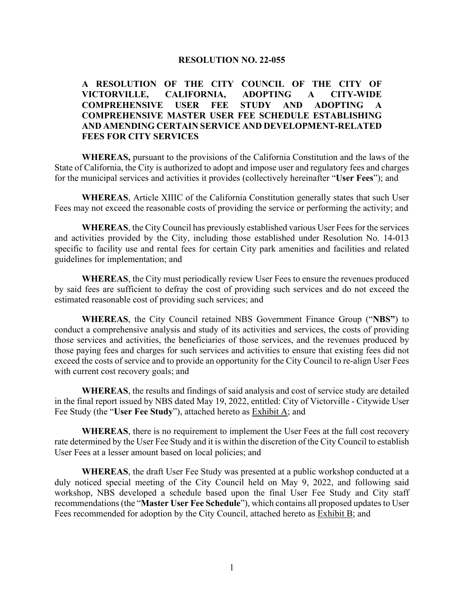#### **RESOLUTION NO. 22-055**

# **A RESOLUTION OF THE CITY COUNCIL OF THE CITY OF VICTORVILLE, CALIFORNIA, ADOPTING A CITY-WIDE COMPREHENSIVE USER FEE STUDY AND ADOPTING A COMPREHENSIVE MASTER USER FEE SCHEDULE ESTABLISHING AND AMENDING CERTAIN SERVICE AND DEVELOPMENT-RELATED FEES FOR CITY SERVICES**

**WHEREAS,** pursuant to the provisions of the California Constitution and the laws of the State of California, the City is authorized to adopt and impose user and regulatory fees and charges for the municipal services and activities it provides (collectively hereinafter "**User Fees**"); and

**WHEREAS**, Article XIIIC of the California Constitution generally states that such User Fees may not exceed the reasonable costs of providing the service or performing the activity; and

**WHEREAS**, the City Council has previously established various User Fees for the services and activities provided by the City, including those established under Resolution No. 14-013 specific to facility use and rental fees for certain City park amenities and facilities and related guidelines for implementation; and

**WHEREAS**, the City must periodically review User Fees to ensure the revenues produced by said fees are sufficient to defray the cost of providing such services and do not exceed the estimated reasonable cost of providing such services; and

**WHEREAS**, the City Council retained NBS Government Finance Group ("**NBS"**) to conduct a comprehensive analysis and study of its activities and services, the costs of providing those services and activities, the beneficiaries of those services, and the revenues produced by those paying fees and charges for such services and activities to ensure that existing fees did not exceed the costs of service and to provide an opportunity for the City Council to re-align User Fees with current cost recovery goals; and

**WHEREAS**, the results and findings of said analysis and cost of service study are detailed in the final report issued by NBS dated May 19, 2022, entitled: City of Victorville - Citywide User Fee Study (the "**User Fee Study**"), attached hereto as Exhibit A; and

**WHEREAS**, there is no requirement to implement the User Fees at the full cost recovery rate determined by the User Fee Study and it is within the discretion of the City Council to establish User Fees at a lesser amount based on local policies; and

**WHEREAS**, the draft User Fee Study was presented at a public workshop conducted at a duly noticed special meeting of the City Council held on May 9, 2022, and following said workshop, NBS developed a schedule based upon the final User Fee Study and City staff recommendations (the "**Master User Fee Schedule**"), which contains all proposed updates to User Fees recommended for adoption by the City Council, attached hereto as Exhibit B; and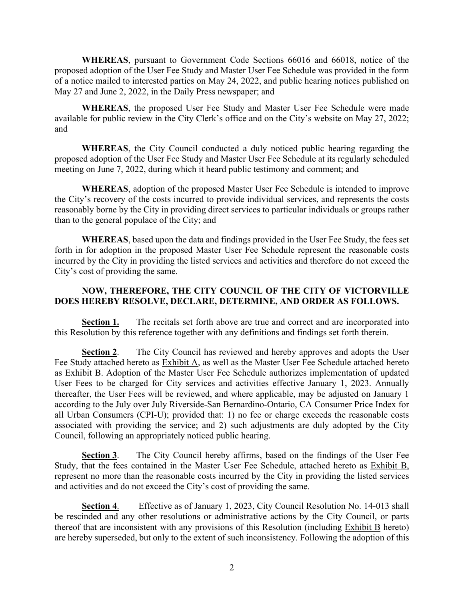**WHEREAS**, pursuant to Government Code Sections 66016 and 66018, notice of the proposed adoption of the User Fee Study and Master User Fee Schedule was provided in the form of a notice mailed to interested parties on May 24, 2022, and public hearing notices published on May 27 and June 2, 2022, in the Daily Press newspaper; and

**WHEREAS**, the proposed User Fee Study and Master User Fee Schedule were made available for public review in the City Clerk's office and on the City's website on May 27, 2022; and

**WHEREAS**, the City Council conducted a duly noticed public hearing regarding the proposed adoption of the User Fee Study and Master User Fee Schedule at its regularly scheduled meeting on June 7, 2022, during which it heard public testimony and comment; and

**WHEREAS**, adoption of the proposed Master User Fee Schedule is intended to improve the City's recovery of the costs incurred to provide individual services, and represents the costs reasonably borne by the City in providing direct services to particular individuals or groups rather than to the general populace of the City; and

**WHEREAS**, based upon the data and findings provided in the User Fee Study, the fees set forth in for adoption in the proposed Master User Fee Schedule represent the reasonable costs incurred by the City in providing the listed services and activities and therefore do not exceed the City's cost of providing the same.

## **NOW, THEREFORE, THE CITY COUNCIL OF THE CITY OF VICTORVILLE DOES HEREBY RESOLVE, DECLARE, DETERMINE, AND ORDER AS FOLLOWS.**

**Section 1.** The recitals set forth above are true and correct and are incorporated into this Resolution by this reference together with any definitions and findings set forth therein.

**Section 2.** The City Council has reviewed and hereby approves and adopts the User Fee Study attached hereto as Exhibit A, as well as the Master User Fee Schedule attached hereto as Exhibit B. Adoption of the Master User Fee Schedule authorizes implementation of updated User Fees to be charged for City services and activities effective January 1, 2023. Annually thereafter, the User Fees will be reviewed, and where applicable, may be adjusted on January 1 according to the July over July Riverside-San Bernardino-Ontario, CA Consumer Price Index for all Urban Consumers (CPI-U); provided that: 1) no fee or charge exceeds the reasonable costs associated with providing the service; and 2) such adjustments are duly adopted by the City Council, following an appropriately noticed public hearing.

**Section 3**. The City Council hereby affirms, based on the findings of the User Fee Study, that the fees contained in the Master User Fee Schedule, attached hereto as Exhibit B, represent no more than the reasonable costs incurred by the City in providing the listed services and activities and do not exceed the City's cost of providing the same.

**Section 4**. Effective as of January 1, 2023, City Council Resolution No. 14-013 shall be rescinded and any other resolutions or administrative actions by the City Council, or parts thereof that are inconsistent with any provisions of this Resolution (including Exhibit B hereto) are hereby superseded, but only to the extent of such inconsistency. Following the adoption of this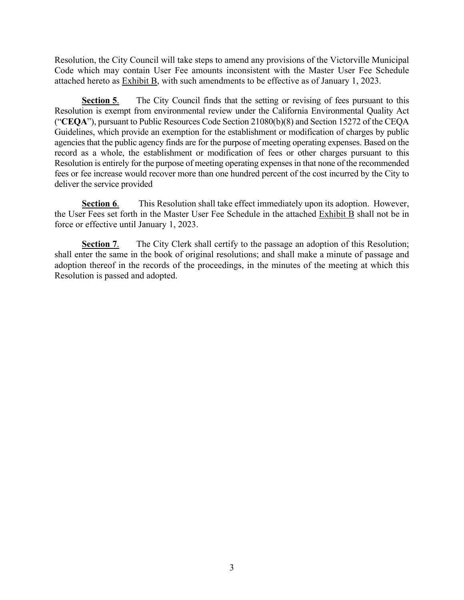Resolution, the City Council will take steps to amend any provisions of the Victorville Municipal Code which may contain User Fee amounts inconsistent with the Master User Fee Schedule attached hereto as Exhibit B, with such amendments to be effective as of January 1, 2023.

**Section 5.** The City Council finds that the setting or revising of fees pursuant to this Resolution is exempt from environmental review under the California Environmental Quality Act ("**CEQA**"), pursuant to Public Resources Code Section 21080(b)(8) and Section 15272 of the CEQA Guidelines, which provide an exemption for the establishment or modification of charges by public agencies that the public agency finds are for the purpose of meeting operating expenses. Based on the record as a whole, the establishment or modification of fees or other charges pursuant to this Resolution is entirely for the purpose of meeting operating expenses in that none of the recommended fees or fee increase would recover more than one hundred percent of the cost incurred by the City to deliver the service provided

**Section 6.** This Resolution shall take effect immediately upon its adoption. However, the User Fees set forth in the Master User Fee Schedule in the attached Exhibit B shall not be in force or effective until January 1, 2023.

**Section 7.** The City Clerk shall certify to the passage an adoption of this Resolution; shall enter the same in the book of original resolutions; and shall make a minute of passage and adoption thereof in the records of the proceedings, in the minutes of the meeting at which this Resolution is passed and adopted.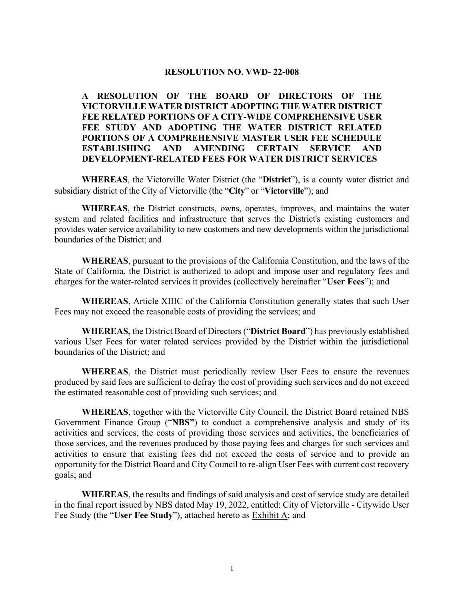#### **RESOLUTION NO. VWD- 22-008**

**A RESOLUTION OF THE BOARD OF DIRECTORS OF THE VICTORVILLE WATER DISTRICT ADOPTING THE WATER DISTRICT FEE RELATED PORTIONS OF A CITY-WIDE COMPREHENSIVE USER FEE STUDY AND ADOPTING THE WATER DISTRICT RELATED PORTIONS OF A COMPREHENSIVE MASTER USER FEE SCHEDULE ESTABLISHING AND AMENDING CERTAIN SERVICE AND DEVELOPMENT-RELATED FEES FOR WATER DISTRICT SERVICES**

**WHEREAS**, the Victorville Water District (the "**District**"), is a county water district and subsidiary district of the City of Victorville (the "**City**" or "**Victorville**"); and

**WHEREAS**, the District constructs, owns, operates, improves, and maintains the water system and related facilities and infrastructure that serves the District's existing customers and provides water service availability to new customers and new developments within the jurisdictional boundaries of the District; and

**WHEREAS**, pursuant to the provisions of the California Constitution, and the laws of the State of California, the District is authorized to adopt and impose user and regulatory fees and charges for the water-related services it provides (collectively hereinafter "**User Fees**"); and

**WHEREAS**, Article XIIIC of the California Constitution generally states that such User Fees may not exceed the reasonable costs of providing the services; and

**WHEREAS,** the District Board of Directors ("**District Board**") has previously established various User Fees for water related services provided by the District within the jurisdictional boundaries of the District; and

**WHEREAS**, the District must periodically review User Fees to ensure the revenues produced by said fees are sufficient to defray the cost of providing such services and do not exceed the estimated reasonable cost of providing such services; and

**WHEREAS**, together with the Victorville City Council, the District Board retained NBS Government Finance Group ("**NBS"**) to conduct a comprehensive analysis and study of its activities and services, the costs of providing those services and activities, the beneficiaries of those services, and the revenues produced by those paying fees and charges for such services and activities to ensure that existing fees did not exceed the costs of service and to provide an opportunity for the District Board and City Council to re-align User Fees with current cost recovery goals; and

**WHEREAS**, the results and findings of said analysis and cost of service study are detailed in the final report issued by NBS dated May 19, 2022, entitled: City of Victorville - Citywide User Fee Study (the "**User Fee Study**"), attached hereto as Exhibit A; and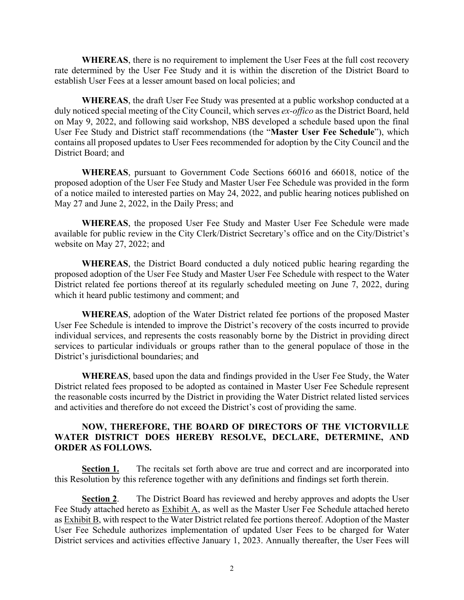**WHEREAS**, there is no requirement to implement the User Fees at the full cost recovery rate determined by the User Fee Study and it is within the discretion of the District Board to establish User Fees at a lesser amount based on local policies; and

**WHEREAS**, the draft User Fee Study was presented at a public workshop conducted at a duly noticed special meeting of the City Council, which serves *ex-offico* as the District Board, held on May 9, 2022, and following said workshop, NBS developed a schedule based upon the final User Fee Study and District staff recommendations (the "**Master User Fee Schedule**"), which contains all proposed updates to User Fees recommended for adoption by the City Council and the District Board; and

**WHEREAS**, pursuant to Government Code Sections 66016 and 66018, notice of the proposed adoption of the User Fee Study and Master User Fee Schedule was provided in the form of a notice mailed to interested parties on May 24, 2022, and public hearing notices published on May 27 and June 2, 2022, in the Daily Press; and

**WHEREAS**, the proposed User Fee Study and Master User Fee Schedule were made available for public review in the City Clerk/District Secretary's office and on the City/District's website on May 27, 2022; and

**WHEREAS**, the District Board conducted a duly noticed public hearing regarding the proposed adoption of the User Fee Study and Master User Fee Schedule with respect to the Water District related fee portions thereof at its regularly scheduled meeting on June 7, 2022, during which it heard public testimony and comment; and

**WHEREAS**, adoption of the Water District related fee portions of the proposed Master User Fee Schedule is intended to improve the District's recovery of the costs incurred to provide individual services, and represents the costs reasonably borne by the District in providing direct services to particular individuals or groups rather than to the general populace of those in the District's jurisdictional boundaries; and

**WHEREAS**, based upon the data and findings provided in the User Fee Study, the Water District related fees proposed to be adopted as contained in Master User Fee Schedule represent the reasonable costs incurred by the District in providing the Water District related listed services and activities and therefore do not exceed the District's cost of providing the same.

### **NOW, THEREFORE, THE BOARD OF DIRECTORS OF THE VICTORVILLE WATER DISTRICT DOES HEREBY RESOLVE, DECLARE, DETERMINE, AND ORDER AS FOLLOWS.**

**Section 1.** The recitals set forth above are true and correct and are incorporated into this Resolution by this reference together with any definitions and findings set forth therein.

**Section 2.** The District Board has reviewed and hereby approves and adopts the User Fee Study attached hereto as Exhibit A, as well as the Master User Fee Schedule attached hereto as Exhibit B, with respect to the Water District related fee portions thereof. Adoption of the Master User Fee Schedule authorizes implementation of updated User Fees to be charged for Water District services and activities effective January 1, 2023. Annually thereafter, the User Fees will